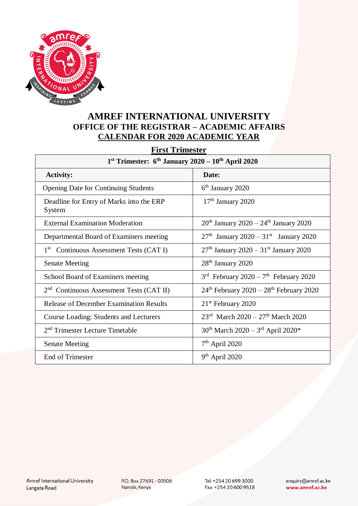

## **AMREF INTERNATIONAL UNIVERSITY OFFICE OF THE REGISTRAR – ACADEMIC AFFAIRS CALENDAR FOR 2020 ACADEMIC YEAR**

**First Trimester**

| $1st$ Trimester: $6th$ January 2020 – $10th$ April 2020 |                                                           |  |
|---------------------------------------------------------|-----------------------------------------------------------|--|
| <b>Activity:</b>                                        | Date:                                                     |  |
| <b>Opening Date for Continuing Students</b>             | $6th$ January 2020                                        |  |
| Deadline for Entry of Marks into the ERP<br>System      | $17th$ January 2020                                       |  |
| <b>External Examination Moderation</b>                  | $20^{th}$ January 2020 – 24 <sup>th</sup> January 2020    |  |
| Departmental Board of Examiners meeting                 | $27th$ January 2020 – 31 <sup>st</sup> January 2020       |  |
| 1 <sup>st</sup> Continuous Assessment Tests (CAT I)     | $27th$ January 2020 – 31 <sup>st</sup> January 2020       |  |
| <b>Senate Meeting</b>                                   | 28 <sup>th</sup> January 2020                             |  |
| School Board of Examiners meeting                       | $3rd$ February 2020 – 7 <sup>th</sup> February 2020       |  |
| 2 <sup>nd</sup> Continuous Assessment Tests (CAT II)    | $24th$ February 2020 – 28 <sup>th</sup> February 2020     |  |
| <b>Release of December Examination Results</b>          | $21st$ February 2020                                      |  |
| <b>Course Loading: Students and Lecturers</b>           | $23^{\text{rd}}$ March $2020 - 27^{\text{th}}$ March 2020 |  |
| 2 <sup>nd</sup> Trimester Lecture Timetable             | $30^{th}$ March 2020 – 3 <sup>rd</sup> April 2020*        |  |
| <b>Senate Meeting</b>                                   | 7 <sup>th</sup> April 2020                                |  |
| <b>End of Trimester</b>                                 | $9th$ April 2020                                          |  |

P.O. Box 27691 - 00506 Nairobi, Kenya

Tel: +254 20 699 3000 Fax: +254 20 600 9518 enquiry@amref.ac.ke www.amref.ac.ke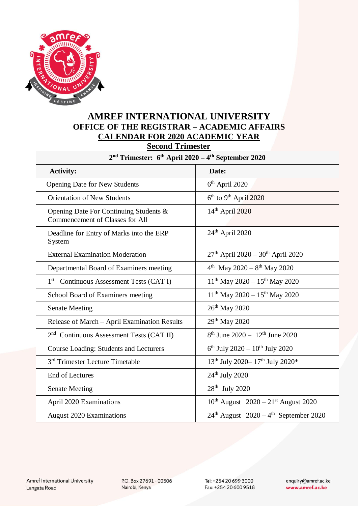

## **AMREF INTERNATIONAL UNIVERSITY OFFICE OF THE REGISTRAR – ACADEMIC AFFAIRS CALENDAR FOR 2020 ACADEMIC YEAR**

**Second Trimester**

| $2nd$ Trimester: 6 <sup>th</sup> April 2020 – 4 <sup>th</sup> September 2020 |                                                        |  |
|------------------------------------------------------------------------------|--------------------------------------------------------|--|
| <b>Activity:</b>                                                             | Date:                                                  |  |
| <b>Opening Date for New Students</b>                                         | $6th$ April 2020                                       |  |
| <b>Orientation of New Students</b>                                           | $6th$ to 9 <sup>th</sup> April 2020                    |  |
| Opening Date For Continuing Students &<br>Commencement of Classes for All    | $14th$ April 2020                                      |  |
| Deadline for Entry of Marks into the ERP<br>System                           | $24th$ April 2020                                      |  |
| <b>External Examination Moderation</b>                                       | $27th$ April 2020 - 30 <sup>th</sup> April 2020        |  |
| Departmental Board of Examiners meeting                                      | $4^{th}$ May 2020 - $8^{th}$ May 2020                  |  |
| 1 <sup>st</sup> Continuous Assessment Tests (CAT I)                          | $11th$ May 2020 - $15th$ May 2020                      |  |
| School Board of Examiners meeting                                            | $11th$ May 2020 - $15th$ May 2020                      |  |
| <b>Senate Meeting</b>                                                        | 26 <sup>th</sup> May 2020                              |  |
| Release of March - April Examination Results                                 | 29 <sup>th</sup> May 2020                              |  |
| $2nd$ Continuous Assessment Tests (CAT II)                                   | $8^{th}$ June 2020 - 12 <sup>th</sup> June 2020        |  |
| <b>Course Loading: Students and Lecturers</b>                                | $6^{th}$ July 2020 – $10^{th}$ July 2020               |  |
| 3 <sup>rd</sup> Trimester Lecture Timetable                                  | 13 <sup>th</sup> July 2020-17 <sup>th</sup> July 2020* |  |
| <b>End of Lectures</b>                                                       | $24th$ July 2020                                       |  |
| <b>Senate Meeting</b>                                                        | $28th$ July 2020                                       |  |
| April 2020 Examinations                                                      | $10^{th}$ August $2020 - 21^{st}$ August 2020          |  |
| <b>August 2020 Examinations</b>                                              | $24th$ August $2020 - 4th$ September 2020              |  |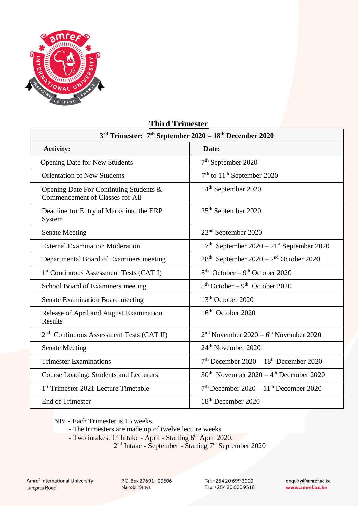

## **Third Trimester**

| 3 <sup>rd</sup> Trimester: 7 <sup>th</sup> September 2020 - 18 <sup>th</sup> December 2020 |                                                      |  |
|--------------------------------------------------------------------------------------------|------------------------------------------------------|--|
| <b>Activity:</b>                                                                           | Date:                                                |  |
| <b>Opening Date for New Students</b>                                                       | 7 <sup>th</sup> September 2020                       |  |
| <b>Orientation of New Students</b>                                                         | $7th$ to $11th$ September 2020                       |  |
| Opening Date For Continuing Students &<br><b>Commencement of Classes for All</b>           | 14 <sup>th</sup> September 2020                      |  |
| Deadline for Entry of Marks into the ERP<br>System                                         | 25 <sup>th</sup> September 2020                      |  |
| <b>Senate Meeting</b>                                                                      | 22 <sup>nd</sup> September 2020                      |  |
| <b>External Examination Moderation</b>                                                     | $17th$ September 2020 – $21st$ September 2020        |  |
| Departmental Board of Examiners meeting                                                    | $28th$ September 2020 – $2nd$ October 2020           |  |
| 1 <sup>st</sup> Continuous Assessment Tests (CAT I)                                        | $5th$ October – 9 <sup>th</sup> October 2020         |  |
| School Board of Examiners meeting                                                          | $5th October - 9th October 2020$                     |  |
| <b>Senate Examination Board meeting</b>                                                    | 13 <sup>th</sup> October 2020                        |  |
| Release of April and August Examination<br>Results                                         | $16th$ October 2020                                  |  |
| $2nd$ Continuous Assessment Tests (CAT II)                                                 | $2nd$ November 2020 – 6 <sup>th</sup> November 2020  |  |
| <b>Senate Meeting</b>                                                                      | 24 <sup>th</sup> November 2020                       |  |
| <b>Trimester Examinations</b>                                                              | $7th$ December 2020 - 18 <sup>th</sup> December 2020 |  |
| <b>Course Loading: Students and Lecturers</b>                                              | $30th$ November $2020 - 4th$ December 2020           |  |
| 1 <sup>st</sup> Trimester 2021 Lecture Timetable                                           | $7th$ December 2020 - 11 <sup>th</sup> December 2020 |  |
| End of Trimester                                                                           | 18 <sup>th</sup> December 2020                       |  |

NB: - Each Trimester is 15 weeks.

- The trimesters are made up of twelve lecture weeks.
- Two intakes: 1<sup>st</sup> Intake April Starting 6<sup>th</sup> April 2020.

2 nd Intake - September - Starting 7th September 2020